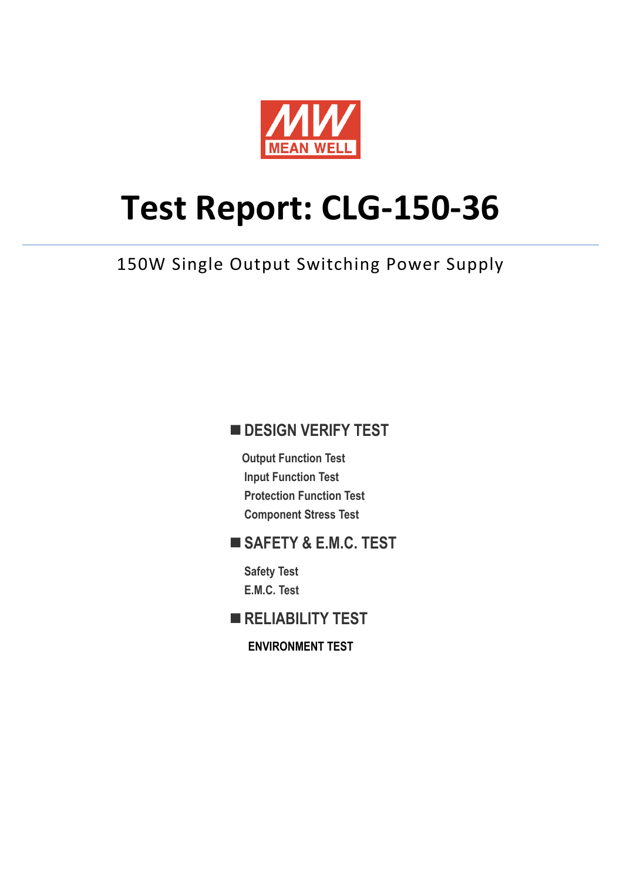

# **Test Report: CLG-150-36**

# 150W Single Output Switching Power Supply

### **DESIGN VERIFY TEST**

**Output Function Test Input Function Test Protection Function Test Component Stress Test** 

#### **SAFETY & E.M.C. TEST**

**Safety Test E.M.C. Test** 

**RELIABILITY TEST** 

**ENVIRONMENT TEST**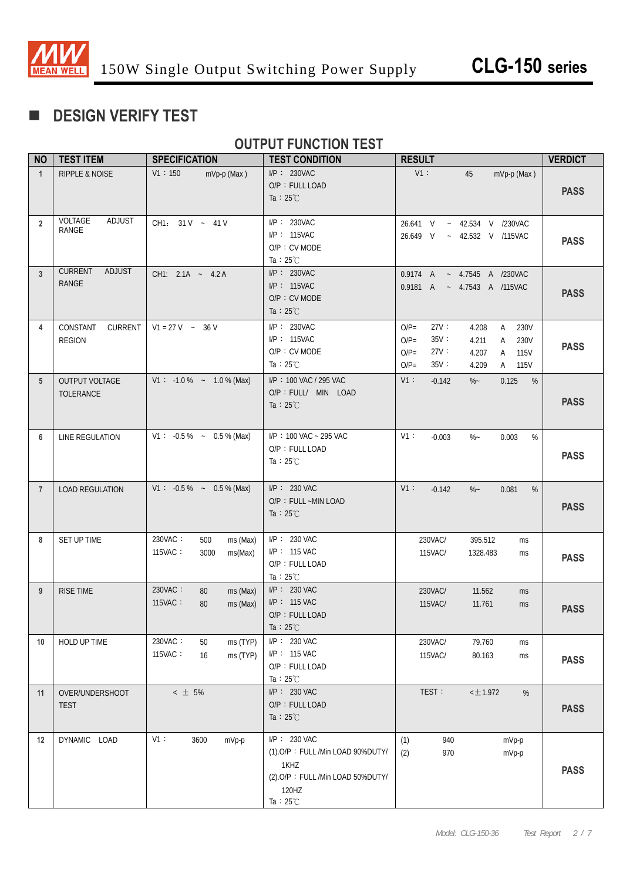

# **DESIGN VERIFY TEST**

#### **OUTPUT FUNCTION TEST**

| <b>NO</b>      | <b>TEST ITEM</b>                          | <b>SPECIFICATION</b>                                     | <b>TEST CONDITION</b>                                                                                                          | <b>RESULT</b>                                                                                                                                          | <b>VERDICT</b> |
|----------------|-------------------------------------------|----------------------------------------------------------|--------------------------------------------------------------------------------------------------------------------------------|--------------------------------------------------------------------------------------------------------------------------------------------------------|----------------|
| $\mathbf{1}$   | <b>RIPPLE &amp; NOISE</b>                 | V1:150<br>mVp-p (Max)                                    | $I/P$ : 230VAC<br>O/P: FULL LOAD<br>Ta : $25^{\circ}$ C                                                                        | $V1$ :<br>45<br>mVp-p (Max)                                                                                                                            | <b>PASS</b>    |
| $\overline{2}$ | VOLTAGE<br>ADJUST<br>RANGE                | CH1: 31 V ~ 41 V                                         | $I/P$ : 230VAC<br>I/P: 115VAC<br>O/P: CV MODE<br>Ta : $25^{\circ}$ C                                                           | 26.641 V ~ 42.534 V /230VAC<br>- 42.532 V /115VAC<br>26.649 V                                                                                          | <b>PASS</b>    |
| $\mathbf{3}$   | <b>CURRENT</b><br>ADJUST<br><b>RANGE</b>  | CH1: $2.1A - 4.2A$                                       | $I/P$ : 230VAC<br>I/P: 115VAC<br>O/P : CV MODE<br>Ta : $25^{\circ}$ C                                                          | 0.9174 A ~ 4.7545 A /230VAC<br>0.9181 A<br>$-$ 4.7543 A /115VAC                                                                                        | <b>PASS</b>    |
| 4              | CONSTANT<br>CURRENT<br><b>REGION</b>      | $V1 = 27 V - 36 V$                                       | $I/P$ : 230VAC<br>I/P: 115VAC<br>O/P: CV MODE<br>Ta : $25^{\circ}$ C                                                           | 27V:<br>$O/P=$<br>A 230V<br>4.208<br>35V:<br>$O/P=$<br>4.211<br>230V<br>A<br>27V:<br>$O/P=$<br>115V<br>4.207<br>A<br>35V:<br>$O/P=$<br>A 115V<br>4.209 | <b>PASS</b>    |
| 5              | <b>OUTPUT VOLTAGE</b><br><b>TOLERANCE</b> | $V1: -1.0\% - 1.0\%$ (Max)                               | I/P: 100 VAC / 295 VAC<br>O/P : FULL/ MIN LOAD<br>Ta : $25^{\circ}$ C                                                          | V1:<br>0.125<br>$-0.142$<br>$\%$ ~<br>%                                                                                                                | <b>PASS</b>    |
| 6              | LINE REGULATION                           | $V1: -0.5\% - 0.5\%$ (Max)                               | I/P: 100 VAC ~ 295 VAC<br>O/P: FULL LOAD<br>Ta : $25^{\circ}$ C                                                                | V1:<br>%<br>$-0.003$<br>$\%$ ~<br>0.003                                                                                                                | <b>PASS</b>    |
| $\overline{7}$ | <b>LOAD REGULATION</b>                    | $V1: -0.5\% - 0.5\%$ (Max)                               | $I/P: 230$ VAC<br>O/P: FULL ~MIN LOAD<br>Ta : $25^{\circ}$ C                                                                   | V1:<br>0.081<br>%<br>$-0.142$<br>$\%$ ~                                                                                                                | <b>PASS</b>    |
| 8              | SET UP TIME                               | 230VAC:<br>ms (Max)<br>500<br>115VAC:<br>3000<br>ms(Max) | I/P: 230 VAC<br>I/P: 115 VAC<br>O/P: FULL LOAD<br>Ta : $25^{\circ}$ C                                                          | 230VAC/<br>395.512<br>ms<br>115VAC/<br>1328.483<br>ms                                                                                                  | <b>PASS</b>    |
| 9              | <b>RISE TIME</b>                          | 230VAC:<br>80<br>ms (Max)<br>115VAC:<br>80<br>ms (Max)   | I/P: 230 VAC<br>$I/P$ : 115 VAC<br>O/P: FULL LOAD<br>Ta: $25^{\circ}$ C                                                        | 230VAC/<br>11.562<br>ms<br>115VAC/<br>11.761<br>ms                                                                                                     | <b>PASS</b>    |
| 10             | HOLD UP TIME                              | 230VAC:<br>50<br>ms (TYP)<br>115VAC:<br>ms (TYP)<br>16   | I/P: 230 VAC<br>I/P: 115 VAC<br>O/P: FULL LOAD<br>Ta : $25^{\circ}$ C                                                          | 79.760<br>230VAC/<br>ms<br>115VAC/<br>80.163<br>ms                                                                                                     | <b>PASS</b>    |
| 11             | OVER/UNDERSHOOT<br><b>TEST</b>            | $\leq$ $\pm$ 5%                                          | $I/P$ : 230 VAC<br>O/P: FULL LOAD<br>Ta : $25^{\circ}$ C                                                                       | TEST:<br>$<$ $\pm$ 1.972<br>%                                                                                                                          | <b>PASS</b>    |
| 12             | DYNAMIC LOAD                              | V1:<br>3600<br>mVp-p                                     | $I/P: 230$ VAC<br>(1).O/P: FULL /Min LOAD 90%DUTY/<br>1KHZ<br>(2).O/P: FULL /Min LOAD 50%DUTY/<br>120HZ<br>Ta : $25^{\circ}$ C | (1)<br>940<br>mVp-p<br>970<br>(2)<br>mVp-p                                                                                                             | <b>PASS</b>    |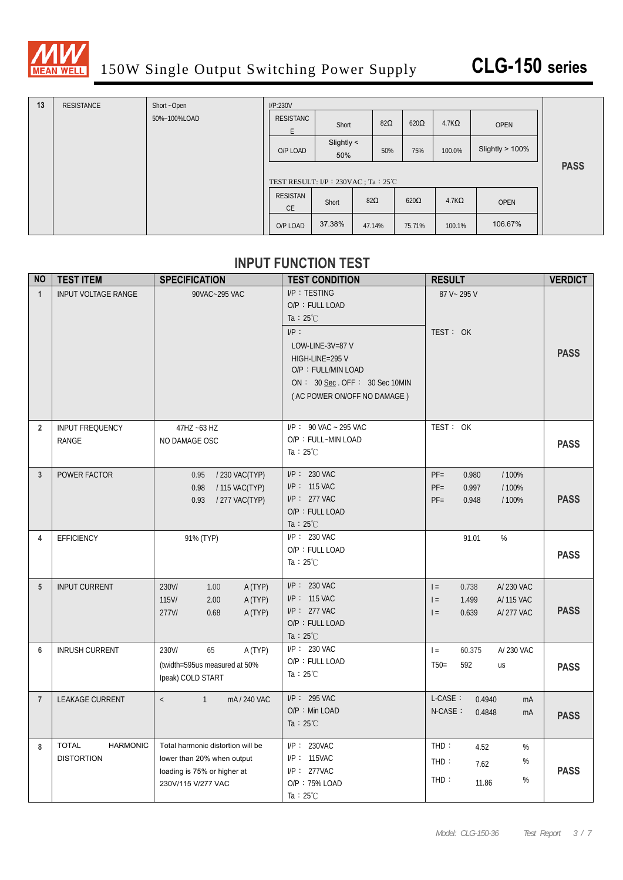

| 13 | <b>RESISTANCE</b> | Short ~Open  | I/P:230V                               |                   |            |             |              |                    |             |
|----|-------------------|--------------|----------------------------------------|-------------------|------------|-------------|--------------|--------------------|-------------|
|    |                   | 50%~100%LOAD | RESISTANC<br>F                         | Short             | $82\Omega$ | $620\Omega$ | $4.7K\Omega$ | <b>OPEN</b>        |             |
|    |                   |              | O/P LOAD                               | Slightly <<br>50% | 50%        | 75%         | 100.0%       | Slightly $> 100\%$ |             |
|    |                   |              | TEST RESULT: $IP : 230VAC : Ta : 25°C$ |                   |            |             |              |                    | <b>PASS</b> |
|    |                   |              | RESISTAN<br><b>CE</b>                  | Short             | $82\Omega$ | $620\Omega$ | $4.7K\Omega$ | <b>OPEN</b>        |             |
|    |                   |              | O/P LOAD                               | 37.38%            | 47.14%     | 75.71%      | 100.1%       | 106.67%            |             |

#### **INPUT FUNCTION TEST**

| <b>NO</b>      | <b>TEST ITEM</b>                                     | <b>SPECIFICATION</b>                                                                                                 | <b>TEST CONDITION</b>                                                                                                                                                                           | <b>RESULT</b>                                                                        | <b>VERDICT</b> |
|----------------|------------------------------------------------------|----------------------------------------------------------------------------------------------------------------------|-------------------------------------------------------------------------------------------------------------------------------------------------------------------------------------------------|--------------------------------------------------------------------------------------|----------------|
| $\mathbf{1}$   | <b>INPUT VOLTAGE RANGE</b>                           | 90VAC~295 VAC                                                                                                        | I/P: TESTING<br>O/P: FULL LOAD<br>Ta : $25^{\circ}$ C<br>IP:<br>LOW-LINE-3V=87 V<br>HIGH-LINE=295 V<br>O/P: FULL/MIN LOAD<br>ON : $30$ Sec. OFF : $30$ Sec 10MIN<br>(AC POWER ON/OFF NO DAMAGE) | 87 V ~ 295 V<br>TEST: OK                                                             | <b>PASS</b>    |
| $\overline{2}$ | <b>INPUT FREQUENCY</b><br>RANGE                      | 47HZ ~63 HZ<br>NO DAMAGE OSC                                                                                         | $I/P$ : 90 VAC ~ 295 VAC<br>O/P: FULL~MIN LOAD<br>Ta : $25^{\circ}$ C                                                                                                                           | TEST: OK                                                                             | <b>PASS</b>    |
| 3              | POWER FACTOR                                         | 0.95<br>/ 230 VAC(TYP)<br>0.98<br>/ 115 VAC(TYP)<br>0.93<br>/ 277 VAC(TYP)                                           | $I/P$ : 230 VAC<br>$I/P$ : 115 VAC<br>$I/P$ : 277 VAC<br>O/P: FULL LOAD<br>Ta : $25^{\circ}$ C                                                                                                  | $PF =$<br>/100%<br>0.980<br>$PF =$<br>0.997<br>/ 100%<br>$PF =$<br>0.948<br>/100%    | <b>PASS</b>    |
| 4              | <b>EFFICIENCY</b>                                    | 91% (TYP)                                                                                                            | I/P: 230 VAC<br>O/P: FULL LOAD<br>Ta : $25^{\circ}$ C                                                                                                                                           | 91.01<br>%                                                                           | <b>PASS</b>    |
| 5              | <b>INPUT CURRENT</b>                                 | 230V/<br>1.00<br>A (TYP)<br>115V/<br>2.00<br>A (TYP)<br>277V/<br>0.68<br>A (TYP)                                     | $I/P$ : 230 VAC<br>$I/P: 115$ VAC<br>$I/P$ : 277 VAC<br>O/P: FULL LOAD<br>Ta : $25^{\circ}$ C                                                                                                   | A/230 VAC<br>$=$<br>0.738<br>1.499<br>$=$<br>A/ 115 VAC<br>$=$<br>0.639<br>A/277 VAC | <b>PASS</b>    |
| 6              | <b>INRUSH CURRENT</b>                                | 230V/<br>65<br>A (TYP)<br>(twidth=595us measured at 50%<br>Ipeak) COLD START                                         | $I/P$ : 230 VAC<br>O/P: FULL LOAD<br>Ta : $25^{\circ}$ C                                                                                                                                        | A/230 VAC<br>$=$<br>60.375<br>592<br>$T50=$<br>us                                    | <b>PASS</b>    |
| $\overline{7}$ | <b>LEAKAGE CURRENT</b>                               | $\mathbf{1}$<br>mA / 240 VAC<br>$\overline{\phantom{a}}$                                                             | $I/P$ : 295 VAC<br>O/P: Min LOAD<br>Ta : $25^{\circ}$ C                                                                                                                                         | L-CASE:<br>0.4940<br>mA<br>$N-CASE$ :<br>0.4848<br>mA                                | <b>PASS</b>    |
| 8              | <b>HARMONIC</b><br><b>TOTAL</b><br><b>DISTORTION</b> | Total harmonic distortion will be<br>lower than 20% when output<br>loading is 75% or higher at<br>230V/115 V/277 VAC | $I/P$ : 230VAC<br>I/P: 115VAC<br>$I/P$ : 277VAC<br>O/P: 75% LOAD<br>Ta: $25^{\circ}$ C                                                                                                          | $THD$ :<br>4.52<br>%<br>THD:<br>%<br>7.62<br>%<br>THD:<br>11.86                      | <b>PASS</b>    |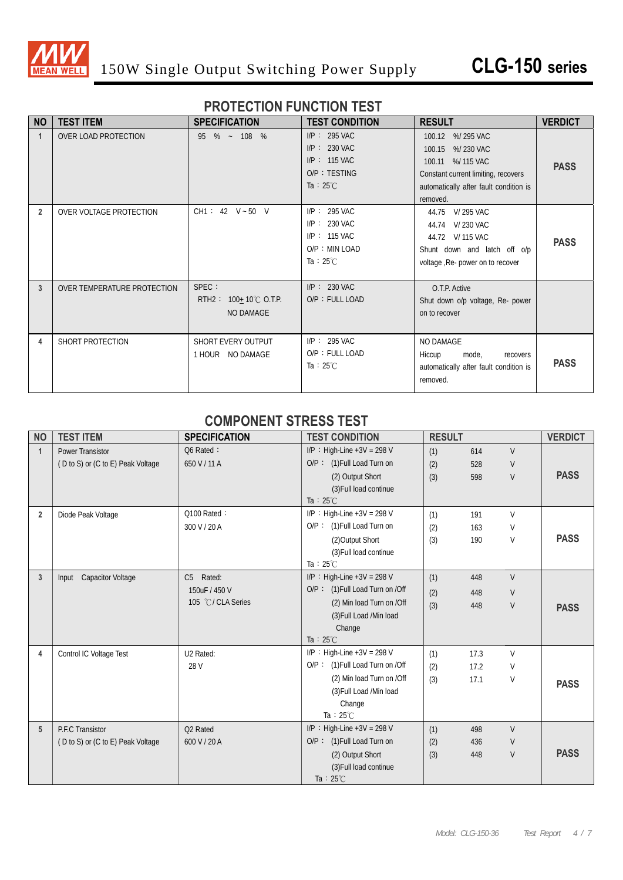

#### **PROTECTION FUNCTION TEST**

| <b>NO</b>      | <b>TEST ITEM</b>            | <b>SPECIFICATION</b>                                         | <b>TEST CONDITION</b>                                                                         | <b>RESULT</b>                                                                                                                                         | <b>VERDICT</b> |
|----------------|-----------------------------|--------------------------------------------------------------|-----------------------------------------------------------------------------------------------|-------------------------------------------------------------------------------------------------------------------------------------------------------|----------------|
| $\mathbf{1}$   | OVER LOAD PROTECTION        | 95 % ~ 108 %                                                 | $I/P$ : 295 VAC<br>$I/P$ : 230 VAC<br>$I/P$ : 115 VAC<br>O/P: TESTING<br>Ta : $25^{\circ}$ C  | 100.12 %/295 VAC<br>100.15 %/230 VAC<br>100.11 %/115 VAC<br>Constant current limiting, recovers<br>automatically after fault condition is<br>removed. | <b>PASS</b>    |
| $\overline{2}$ | OVER VOLTAGE PROTECTION     | CH1: 42 V ~ 50 V                                             | $I/P$ : 295 VAC<br>$I/P$ : 230 VAC<br>$I/P$ : 115 VAC<br>O/P: MIN LOAD<br>Ta : $25^{\circ}$ C | 44.75 V/295 VAC<br>44.74 V/230 VAC<br>44.72 V/ 115 VAC<br>Shunt down and latch off o/p<br>voltage , Re- power on to recover                           | <b>PASS</b>    |
| 3              | OVER TEMPERATURE PROTECTION | SPEC :<br>RTH2:<br>100 $\pm$ 10°C O.T.P.<br><b>NO DAMAGE</b> | $I/P$ : 230 VAC<br>O/P: FULL LOAD                                                             | O.T.P. Active<br>Shut down o/p voltage, Re- power<br>on to recover                                                                                    |                |
| 4              | SHORT PROTECTION            | SHORT EVERY OUTPUT<br>1 HOUR NO DAMAGE                       | $I/P$ : 295 VAC<br>O/P: FULL LOAD<br>Ta : $25^{\circ}$ C                                      | NO DAMAGE<br>Hiccup<br>mode,<br>recovers<br>automatically after fault condition is<br>removed.                                                        | <b>PASS</b>    |

#### **COMPONENT STRESS TEST**

| <b>NO</b>      | <b>TEST ITEM</b>                                             | <b>SPECIFICATION</b>       | <b>TEST CONDITION</b>                                                              | <b>RESULT</b>     |                   |                       | <b>VERDICT</b> |
|----------------|--------------------------------------------------------------|----------------------------|------------------------------------------------------------------------------------|-------------------|-------------------|-----------------------|----------------|
| $\mathbf{1}$   | <b>Power Transistor</b><br>(D to S) or (C to E) Peak Voltage | Q6 Rated :<br>650 V / 11 A | $I/P$ : High-Line +3V = 298 V<br>$O/P$ : (1) Full Load Turn on<br>(2) Output Short | (1)<br>(2)<br>(3) | 614<br>528<br>598 | $\vee$<br>V<br>$\vee$ | <b>PASS</b>    |
|                |                                                              |                            | (3) Full load continue<br>Ta: $25^{\circ}$ C                                       |                   |                   |                       |                |
| $\overline{2}$ | Diode Peak Voltage                                           | Q100 Rated:                | I/P : High-Line +3V = 298 V                                                        | (1)               | 191               | V                     |                |
|                |                                                              | 300 V / 20 A               | O/P: (1) Full Load Turn on                                                         | (2)               | 163               | V                     |                |
|                |                                                              |                            | (2) Output Short                                                                   | (3)               | 190               | V                     | <b>PASS</b>    |
|                |                                                              |                            | (3) Full load continue                                                             |                   |                   |                       |                |
|                |                                                              |                            | Ta: $25^{\circ}$ C                                                                 |                   |                   |                       |                |
| 3              | Input Capacitor Voltage                                      | Rated:<br>C5               | $I/P$ : High-Line +3V = 298 V                                                      | (1)               | 448               | $\vee$                |                |
|                |                                                              | 150uF / 450 V              | O/P: (1) Full Load Turn on /Off                                                    | (2)               | 448               | V                     |                |
|                |                                                              | 105 °C / CLA Series        | (2) Min load Turn on /Off                                                          | (3)               | 448               | V                     | <b>PASS</b>    |
|                |                                                              |                            | (3) Full Load /Min load                                                            |                   |                   |                       |                |
|                |                                                              |                            | Change                                                                             |                   |                   |                       |                |
|                |                                                              |                            | Ta : $25^{\circ}$ C                                                                |                   |                   |                       |                |
| 4              | Control IC Voltage Test                                      | U2 Rated:                  | $I/P$ : High-Line +3V = 298 V<br>O/P: (1) Full Load Turn on /Off                   | (1)               | 17.3              | $\vee$                |                |
|                |                                                              | 28 V                       | (2) Min load Turn on /Off                                                          | (2)               | 17.2              | V                     |                |
|                |                                                              |                            | (3) Full Load /Min load                                                            | (3)               | 17.1              | V                     | <b>PASS</b>    |
|                |                                                              |                            | Change                                                                             |                   |                   |                       |                |
|                |                                                              |                            | Ta : $25^{\circ}$ C                                                                |                   |                   |                       |                |
| 5              | P.F.C Transistor                                             | Q2 Rated                   | $I/P$ : High-Line +3V = 298 V                                                      | (1)               | 498               | $\vee$                |                |
|                | (D to S) or (C to E) Peak Voltage                            | 600 V / 20 A               | O/P: (1) Full Load Turn on                                                         | (2)               | 436               | V                     |                |
|                |                                                              |                            | (2) Output Short                                                                   | (3)               | 448               | V                     | <b>PASS</b>    |
|                |                                                              |                            | (3) Full load continue                                                             |                   |                   |                       |                |
|                |                                                              |                            | Ta : $25^{\circ}$ C                                                                |                   |                   |                       |                |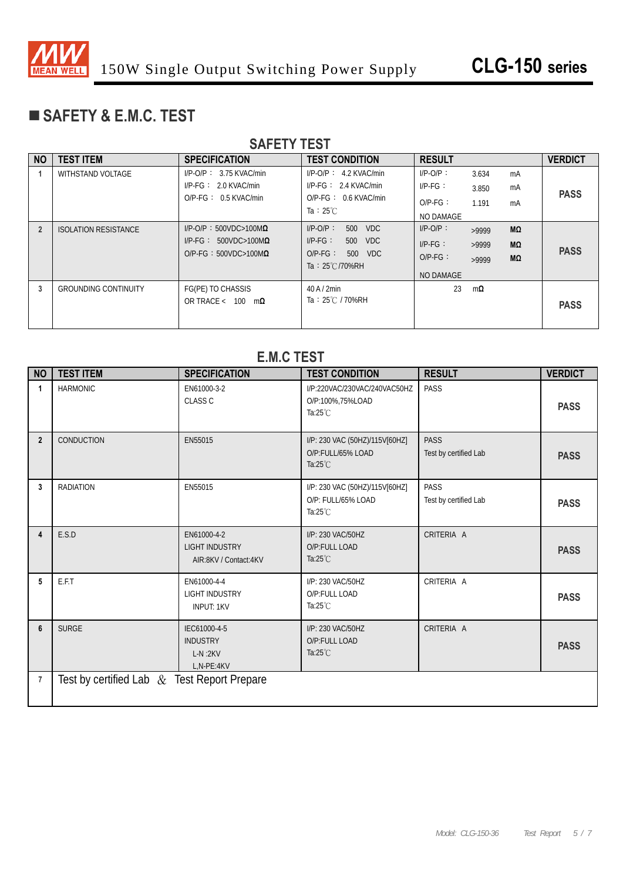

## **SAFETY & E.M.C. TEST**

| <b>SAFETY TEST</b> |                             |                                  |                                              |               |           |    |                |
|--------------------|-----------------------------|----------------------------------|----------------------------------------------|---------------|-----------|----|----------------|
| <b>NO</b>          | <b>TEST ITEM</b>            | <b>SPECIFICATION</b>             | <b>TEST CONDITION</b>                        | <b>RESULT</b> |           |    | <b>VERDICT</b> |
|                    | <b>WITHSTAND VOLTAGE</b>    | $I/P$ -O/P: 3.75 KVAC/min        | $I/P-O/P$ : 4.2 KVAC/min                     | $I/P$ -O/P:   | 3.634     | mA |                |
|                    |                             | $I/P-FG: 2.0 KVAC/min$           | $I/P-FG: 2.4 KVAC/min$                       | $IP-FG:$      | 3.850     | mA | <b>PASS</b>    |
|                    |                             | $O/P-FG: 0.5$ KVAC/min           | $O/P-FG: 0.6$ KVAC/min<br>Ta: $25^{\circ}$ C | $O/P-FG$ :    | 1.191     | mA |                |
|                    |                             |                                  |                                              | NO DAMAGE     |           |    |                |
| $\overline{2}$     | <b>ISOLATION RESISTANCE</b> | $I/P$ -O/P: 500VDC>100M $\Omega$ | $I/P-O/P$ :<br>500 VDC                       | $I/P-O/P$ :   | >9999     | MΩ |                |
|                    |                             | $I/P-FG: 500VDC>100M\Omega$      | $I/P-FG$ :<br>500 VDC                        | $I/P-FG$ :    | >9999     | MΩ | <b>PASS</b>    |
|                    |                             | $O/P-FG: 500VDC>100M\Omega$      | $O/P-FG$ :<br>500 VDC                        | $O/P-FG$ :    | >9999     | MΩ |                |
|                    |                             |                                  | Ta: 25°C/70%RH                               | NO DAMAGE     |           |    |                |
| 3                  | <b>GROUNDING CONTINUITY</b> | FG(PE) TO CHASSIS                | $40$ A $/$ 2min                              | 23            | $m\Omega$ |    |                |
|                    |                             | OR TRACE < $100 \text{ m}\Omega$ | Ta: 25℃ / 70%RH                              |               |           |    | <b>PASS</b>    |
|                    |                             |                                  |                                              |               |           |    |                |

#### NO | TEST ITEM | SPECIFICATION | TEST CONDITION | RESULT | VERDICT **1 HARMONIC** EN61000-3-2 CLASS C I/P:220VAC/230VAC/240VAC50HZ O/P:100%,75%LOAD Ta:25℃ PASS **PASS 2** CONDUCTION EN55015 I/P: 230 VAC (50HZ)/115V[60HZ] O/P:FULL/65% LOAD Ta:25℃ PASS Test by certified Lab **PASS 3 RADIATION** EN55015 **I/P: 230 VAC (50HZ)/115V[60HZ]** O/P: FULL/65% LOAD Ta:25℃ PASS Test by certified Lab **PASS 4** E.S.D EN61000-4-2 LIGHT INDUSTRY AIR:8KV / Contact:4KV I/P: 230 VAC/50HZ O/P:FULL LOAD Ta:25℃ CRITERIA A **PASS 5 E.F.T** EN61000-4-4 LIGHT INDUSTRY INPUT: 1KV I/P: 230 VAC/50HZ O/P:FULL LOAD Ta:25℃ CRITERIA A **PASS 6** SURGE IEC61000-4-5 INDUSTRY L-N :2KV L,N-PE:4KV I/P: 230 VAC/50HZ O/P:FULL LOAD Ta:25℃ CRITERIA A **PASS 7** Test by certified Lab & Test Report Prepare

#### **E.M.C TEST**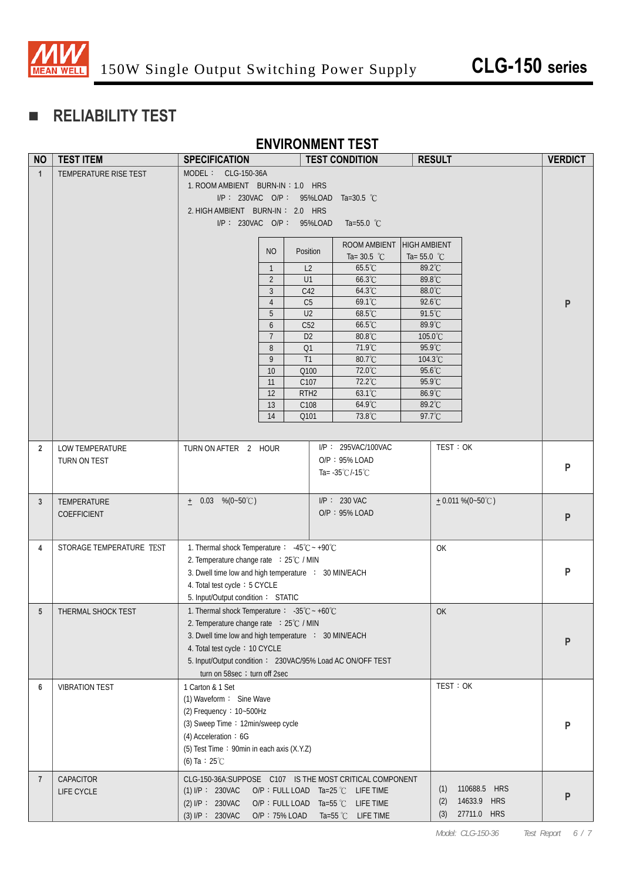

# **RELIABILITY TEST**

#### **ENVIRONMENT TEST**

| <b>NO</b>       | <b>TEST ITEM</b>         | <b>SPECIFICATION</b>                                                          |                                  | <b>TEST CONDITION</b>                |                  | <b>RESULT</b> |                     | <b>VERDICT</b> |
|-----------------|--------------------------|-------------------------------------------------------------------------------|----------------------------------|--------------------------------------|------------------|---------------|---------------------|----------------|
| $\mathbf{1}$    | TEMPERATURE RISE TEST    | MODEL: CLG-150-36A                                                            |                                  |                                      |                  |               |                     |                |
|                 |                          | 1. ROOM AMBIENT BURN-IN: 1.0 HRS                                              |                                  |                                      |                  |               |                     |                |
|                 |                          | I/P: 230VAC O/P: 95%LOAD Ta=30.5 °C                                           |                                  |                                      |                  |               |                     |                |
|                 |                          | 2. HIGH AMBIENT BURN-IN: 2.0 HRS                                              |                                  |                                      |                  |               |                     |                |
|                 |                          | I/P: 230VAC O/P: 95%LOAD                                                      |                                  | Ta=55.0 $^{\circ}$ C                 |                  |               |                     |                |
|                 |                          |                                                                               |                                  | ROOM AMBIENT HIGH AMBIENT            |                  |               |                     |                |
|                 |                          | <b>NO</b>                                                                     | Position                         | Ta= $30.5$ °C                        | Ta= $55.0$ °C    |               |                     |                |
|                 |                          | $\mathbf{1}$                                                                  | L <sub>2</sub>                   | 65.5°C                               | 89.2°C           |               |                     |                |
|                 |                          | $\overline{2}$                                                                | U1                               | 66.3°C                               | 89.8°C           |               |                     |                |
|                 |                          | 3                                                                             | C42                              | 64.3°C                               | 88.0°C           |               |                     |                |
|                 |                          | $\overline{4}$<br>5                                                           | C <sub>5</sub><br>U <sub>2</sub> | 69.1°C<br>68.5°C                     | 92.6°C<br>91.5°C |               |                     | P              |
|                 |                          | 6                                                                             | C52                              | 66.5°C                               | 89.9°C           |               |                     |                |
|                 |                          | $7\overline{ }$                                                               | D <sub>2</sub>                   | 80.8°C                               | 105.0°C          |               |                     |                |
|                 |                          | 8                                                                             | Q1                               | 71.9°C                               | 95.9°C           |               |                     |                |
|                 |                          | 9                                                                             | T1                               | 80.7°C                               | 104.3°C          |               |                     |                |
|                 |                          | 10                                                                            | Q100                             | 72.0°C                               | 95.6°C           |               |                     |                |
|                 |                          | 11                                                                            | C107                             | 72.2°C                               | 95.9°C           |               |                     |                |
|                 |                          | 12<br>13                                                                      | RTH <sub>2</sub><br>C108         | 63.1°C<br>64.9°C                     | 86.9°C<br>89.2°C |               |                     |                |
|                 |                          | 14                                                                            | Q101                             | 73.8°C                               | 97.7°C           |               |                     |                |
|                 |                          |                                                                               |                                  |                                      |                  |               |                     |                |
| $\overline{2}$  | LOW TEMPERATURE          | TURN ON AFTER 2 HOUR                                                          |                                  | I/P: 295VAC/100VAC                   |                  | TEST: OK      |                     |                |
|                 | TURN ON TEST             |                                                                               |                                  | O/P: 95% LOAD                        |                  |               |                     |                |
|                 |                          |                                                                               |                                  | Ta= $-35^{\circ}$ C/-15 $^{\circ}$ C |                  |               |                     | P              |
|                 |                          |                                                                               |                                  |                                      |                  |               |                     |                |
| 3               | TEMPERATURE              | $\pm$ 0.03 %(0~50°C)                                                          |                                  | $I/P$ : 230 VAC                      |                  |               | $+0.011\%$ (0~50°C) |                |
|                 | COEFFICIENT              |                                                                               |                                  | O/P: 95% LOAD                        |                  |               |                     | ${\sf P}$      |
|                 |                          |                                                                               |                                  |                                      |                  |               |                     |                |
| 4               | STORAGE TEMPERATURE TEST | 1. Thermal shock Temperature : $-45^{\circ}\text{C} \sim +90^{\circ}\text{C}$ |                                  |                                      |                  | OK            |                     |                |
|                 |                          | 2. Temperature change rate : 25°C / MIN                                       |                                  |                                      |                  |               |                     |                |
|                 |                          | 3. Dwell time low and high temperature : 30 MIN/EACH                          |                                  |                                      |                  |               |                     | P              |
|                 |                          | 4. Total test cycle: 5 CYCLE                                                  |                                  |                                      |                  |               |                     |                |
|                 |                          | 5. Input/Output condition: STATIC                                             |                                  |                                      |                  |               |                     |                |
| $5\phantom{.0}$ | THERMAL SHOCK TEST       | 1. Thermal shock Temperature: $-35^{\circ}\text{C} \sim +60^{\circ}\text{C}$  |                                  |                                      |                  | OK            |                     |                |
|                 |                          | 2. Temperature change rate : 25°C / MIN                                       |                                  |                                      |                  |               |                     |                |
|                 |                          | 3. Dwell time low and high temperature : 30 MIN/EACH                          |                                  |                                      |                  |               |                     | P              |
|                 |                          | 4. Total test cycle: 10 CYCLE                                                 |                                  |                                      |                  |               |                     |                |
|                 |                          | 5. Input/Output condition: 230VAC/95% Load AC ON/OFF TEST                     |                                  |                                      |                  |               |                     |                |
|                 |                          | turn on 58sec ; turn off 2sec                                                 |                                  |                                      |                  |               |                     |                |
| 6               | <b>VIBRATION TEST</b>    | 1 Carton & 1 Set                                                              |                                  |                                      |                  | TEST: OK      |                     |                |
|                 |                          | (1) Waveform: Sine Wave<br>(2) Frequency: 10~500Hz                            |                                  |                                      |                  |               |                     |                |
|                 |                          | (3) Sweep Time: 12min/sweep cycle                                             |                                  |                                      |                  |               |                     |                |
|                 |                          | (4) Acceleration: 6G                                                          |                                  |                                      |                  |               |                     | P              |
|                 |                          | (5) Test Time: 90min in each axis (X.Y.Z)                                     |                                  |                                      |                  |               |                     |                |
|                 |                          | (6) Ta : $25^{\circ}$ C                                                       |                                  |                                      |                  |               |                     |                |
| $\overline{7}$  | CAPACITOR                | CLG-150-36A:SUPPOSE C107 IS THE MOST CRITICAL COMPONENT                       |                                  |                                      |                  |               |                     |                |
|                 | LIFE CYCLE               | $(1)$ I/P : 230VAC                                                            |                                  | O/P : FULL LOAD Ta=25 ℃ LIFE TIME    |                  | (1)           | 110688.5 HRS        |                |
|                 |                          | (2) I/P: 230VAC                                                               |                                  | O/P : FULL LOAD Ta=55 ℃ LIFE TIME    |                  | (2)           | 14633.9 HRS         | P              |
|                 |                          | (3) I/P: 230VAC                                                               | O/P: 75% LOAD                    | Ta=55 ℃ LIFE TIME                    |                  | (3)           | 27711.0 HRS         |                |